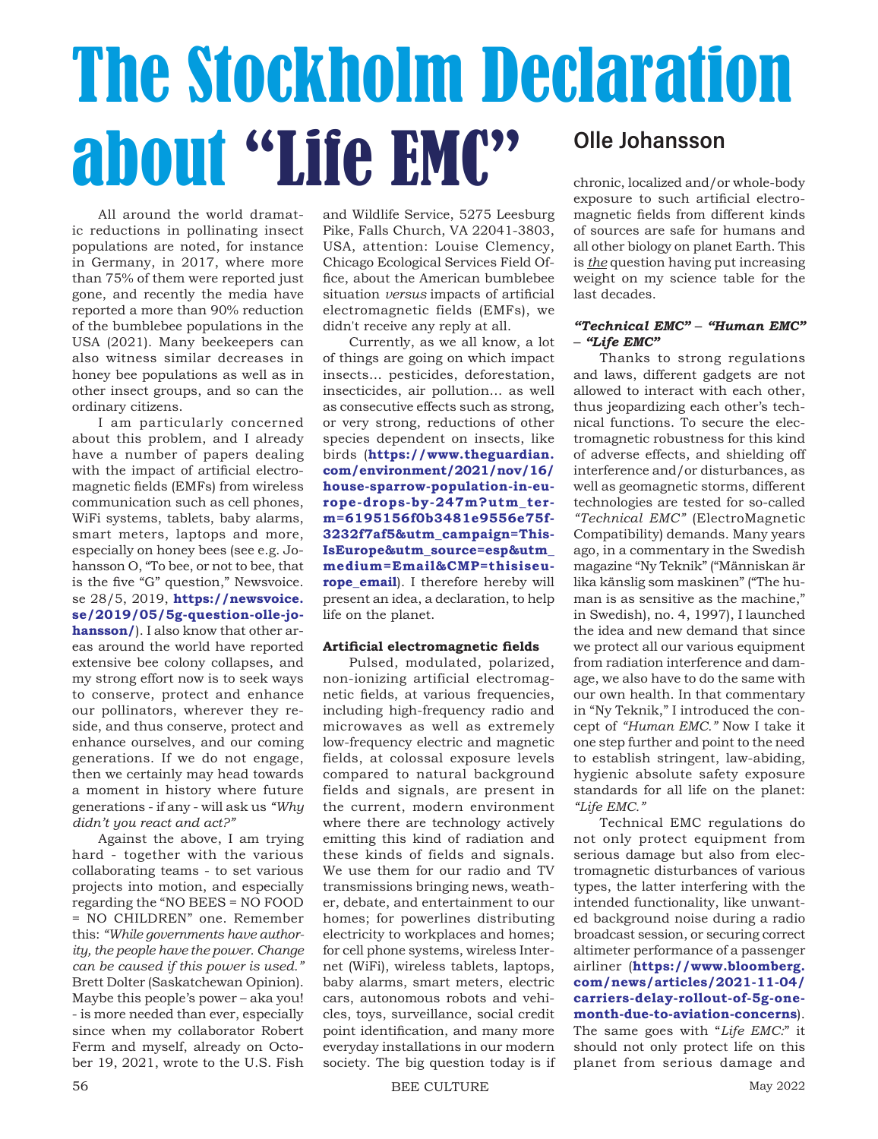# The Stockholm Declaration about "Life EMC" Olle Johansson

All around the world dramatic reductions in pollinating insect populations are noted, for instance in Germany, in 2017, where more than 75% of them were reported just gone, and recently the media have reported a more than 90% reduction of the bumblebee populations in the USA (2021). Many beekeepers can also witness similar decreases in honey bee populations as well as in other insect groups, and so can the ordinary citizens.

I am particularly concerned about this problem, and I already have a number of papers dealing with the impact of artificial electromagnetic fields (EMFs) from wireless communication such as cell phones, WiFi systems, tablets, baby alarms, smart meters, laptops and more, especially on honey bees (see e.g. Johansson O, "To bee, or not to bee, that is the five "G" question," Newsvoice. se 28/5, 2019, **https://newsvoice. se/2019/05/5g-question-olle-johansson/**). I also know that other areas around the world have reported extensive bee colony collapses, and my strong effort now is to seek ways to conserve, protect and enhance our pollinators, wherever they reside, and thus conserve, protect and enhance ourselves, and our coming generations. If we do not engage, then we certainly may head towards a moment in history where future generations - if any - will ask us *"Why didn't you react and act?"*

Against the above, I am trying hard - together with the various collaborating teams - to set various projects into motion, and especially regarding the "NO BEES = NO FOOD = NO CHILDREN" one. Remember this: *"While governments have authority, the people have the power. Change can be caused if this power is used."* Brett Dolter (Saskatchewan Opinion). Maybe this people's power – aka you! - is more needed than ever, especially since when my collaborator Robert Ferm and myself, already on October 19, 2021, wrote to the U.S. Fish

and Wildlife Service, 5275 Leesburg Pike, Falls Church, VA 22041-3803, USA, attention: Louise Clemency, Chicago Ecological Services Field Office, about the American bumblebee situation *versus* impacts of artificial electromagnetic fields (EMFs), we didn't receive any reply at all.

Currently, as we all know, a lot of things are going on which impact insects… pesticides, deforestation, insecticides, air pollution… as well as consecutive effects such as strong, or very strong, reductions of other species dependent on insects, like birds (**https://www.theguardian. com/environment/2021/nov/16/ house-sparrow-population-in-europe-drops-by-247m?utm\_term=6195156f0b3481e9556e75f-3232f7af5&utm\_campaign=This-IsEurope&utm\_source=esp&utm\_ medium=Email&CMP=thisiseurope\_email**). I therefore hereby will present an idea, a declaration, to help life on the planet.

## **Artificial electromagnetic fields**

Pulsed, modulated, polarized, non-ionizing artificial electromagnetic fields, at various frequencies, including high-frequency radio and microwaves as well as extremely low-frequency electric and magnetic fields, at colossal exposure levels compared to natural background fields and signals, are present in the current, modern environment where there are technology actively emitting this kind of radiation and these kinds of fields and signals. We use them for our radio and TV transmissions bringing news, weather, debate, and entertainment to our homes; for powerlines distributing electricity to workplaces and homes; for cell phone systems, wireless Internet (WiFi), wireless tablets, laptops, baby alarms, smart meters, electric cars, autonomous robots and vehicles, toys, surveillance, social credit point identification, and many more everyday installations in our modern society. The big question today is if chronic, localized and/or whole-body exposure to such artificial electromagnetic fields from different kinds of sources are safe for humans and all other biology on planet Earth. This is *the* question having put increasing weight on my science table for the last decades.

## *"Technical EMC" – "Human EMC" – "Life EMC"*

Thanks to strong regulations and laws, different gadgets are not allowed to interact with each other, thus jeopardizing each other's technical functions. To secure the electromagnetic robustness for this kind of adverse effects, and shielding off interference and/or disturbances, as well as geomagnetic storms, different technologies are tested for so-called *"Technical EMC"* (ElectroMagnetic Compatibility) demands. Many years ago, in a commentary in the Swedish magazine "Ny Teknik" ("Människan är lika känslig som maskinen" ("The human is as sensitive as the machine," in Swedish), no. 4, 1997), I launched the idea and new demand that since we protect all our various equipment from radiation interference and damage, we also have to do the same with our own health. In that commentary in "Ny Teknik," I introduced the concept of *"Human EMC."* Now I take it one step further and point to the need to establish stringent, law-abiding, hygienic absolute safety exposure standards for all life on the planet: *"Life EMC."*

Technical EMC regulations do not only protect equipment from serious damage but also from electromagnetic disturbances of various types, the latter interfering with the intended functionality, like unwanted background noise during a radio broadcast session, or securing correct altimeter performance of a passenger airliner (**https://www.bloomberg. com/news/articles/2021-11-04/ carriers-delay-rollout-of-5g-onemonth-due-to-aviation-concerns**). The same goes with "*Life EMC:*" it should not only protect life on this planet from serious damage and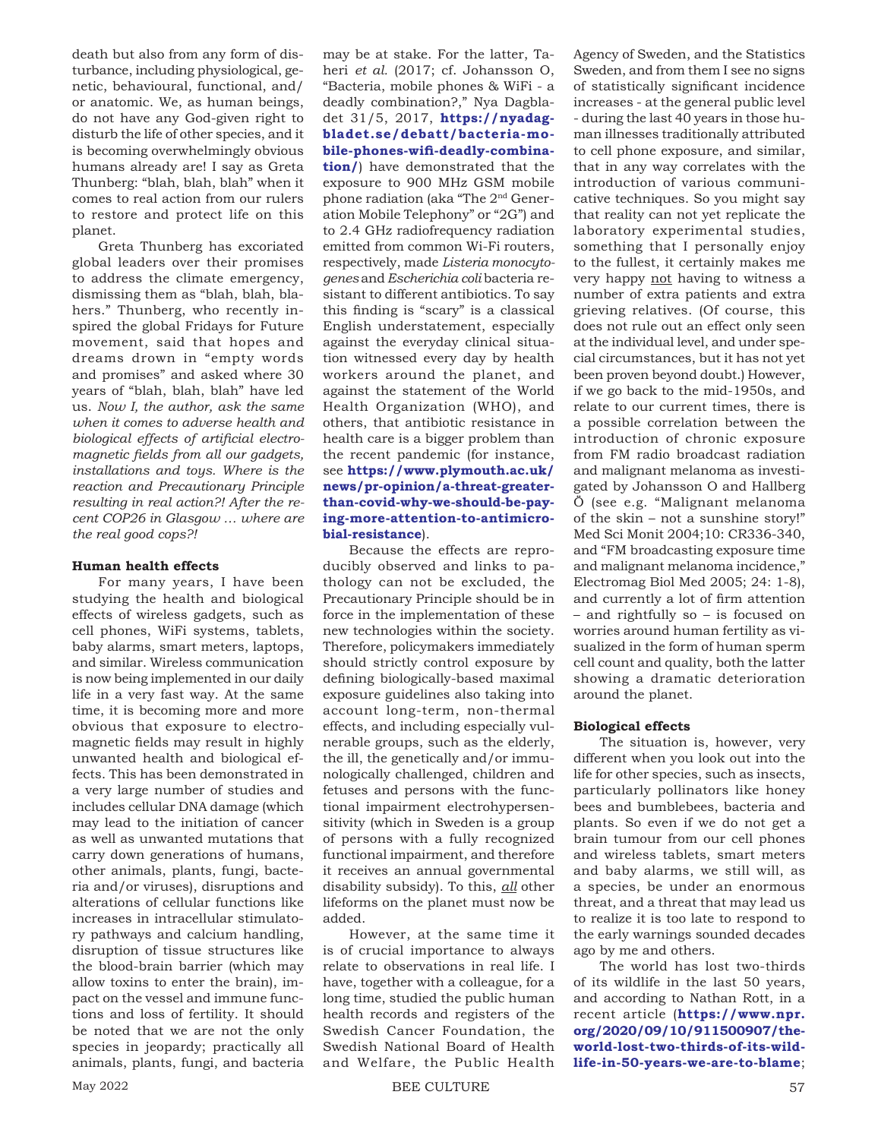death but also from any form of disturbance, including physiological, genetic, behavioural, functional, and/ or anatomic. We, as human beings, do not have any God-given right to disturb the life of other species, and it is becoming overwhelmingly obvious humans already are! I say as Greta Thunberg: "blah, blah, blah" when it comes to real action from our rulers to restore and protect life on this planet.

Greta Thunberg has excoriated global leaders over their promises to address the climate emergency, dismissing them as "blah, blah, blahers." Thunberg, who recently inspired the global Fridays for Future movement, said that hopes and dreams drown in "empty words and promises" and asked where 30 years of "blah, blah, blah" have led us. *Now I, the author, ask the same when it comes to adverse health and biological effects of artificial electromagnetic fields from all our gadgets, installations and toys. Where is the reaction and Precautionary Principle resulting in real action?! After the recent COP26 in Glasgow … where are the real good cops?!*

## **Human health effects**

For many years, I have been studying the health and biological effects of wireless gadgets, such as cell phones, WiFi systems, tablets, baby alarms, smart meters, laptops, and similar. Wireless communication is now being implemented in our daily life in a very fast way. At the same time, it is becoming more and more obvious that exposure to electromagnetic fields may result in highly unwanted health and biological effects. This has been demonstrated in a very large number of studies and includes cellular DNA damage (which may lead to the initiation of cancer as well as unwanted mutations that carry down generations of humans, other animals, plants, fungi, bacteria and/or viruses), disruptions and alterations of cellular functions like increases in intracellular stimulatory pathways and calcium handling, disruption of tissue structures like the blood-brain barrier (which may allow toxins to enter the brain), impact on the vessel and immune functions and loss of fertility. It should be noted that we are not the only species in jeopardy; practically all animals, plants, fungi, and bacteria

may be at stake. For the latter, Taheri *et al.* (2017; cf. Johansson O, "Bacteria, mobile phones & WiFi - a deadly combination?," Nya Dagbladet 31/5, 2017, **https://nyadagbladet.se/debatt/bacteria-mobile-phones-wifi-deadly-combination/**) have demonstrated that the exposure to 900 MHz GSM mobile phone radiation (aka "The 2nd Generation Mobile Telephony" or "2G") and to 2.4 GHz radiofrequency radiation emitted from common Wi-Fi routers, respectively, made *Listeria monocytogenes* and*Escherichia coli* bacteria resistant to different antibiotics. To say this finding is "scary" is a classical English understatement, especially against the everyday clinical situation witnessed every day by health workers around the planet, and against the statement of the World Health Organization (WHO), and others, that antibiotic resistance in health care is a bigger problem than the recent pandemic (for instance, see **https://www.plymouth.ac.uk/ news/pr-opinion/a-threat-greaterthan-covid-why-we-should-be-paying-more-attention-to-antimicrobial-resistance**).

Because the effects are reproducibly observed and links to pathology can not be excluded, the Precautionary Principle should be in force in the implementation of these new technologies within the society. Therefore, policymakers immediately should strictly control exposure by defining biologically-based maximal exposure guidelines also taking into account long-term, non-thermal effects, and including especially vulnerable groups, such as the elderly, the ill, the genetically and/or immunologically challenged, children and fetuses and persons with the functional impairment electrohypersensitivity (which in Sweden is a group of persons with a fully recognized functional impairment, and therefore it receives an annual governmental disability subsidy). To this, *all* other lifeforms on the planet must now be added.

However, at the same time it is of crucial importance to always relate to observations in real life. I have, together with a colleague, for a long time, studied the public human health records and registers of the Swedish Cancer Foundation, the Swedish National Board of Health and Welfare, the Public Health

Agency of Sweden, and the Statistics Sweden, and from them I see no signs of statistically significant incidence increases - at the general public level - during the last 40 years in those human illnesses traditionally attributed to cell phone exposure, and similar, that in any way correlates with the introduction of various communicative techniques. So you might say that reality can not yet replicate the laboratory experimental studies, something that I personally enjoy to the fullest, it certainly makes me very happy not having to witness a number of extra patients and extra grieving relatives. (Of course, this does not rule out an effect only seen at the individual level, and under special circumstances, but it has not yet been proven beyond doubt.) However, if we go back to the mid-1950s, and relate to our current times, there is a possible correlation between the introduction of chronic exposure from FM radio broadcast radiation and malignant melanoma as investigated by Johansson O and Hallberg Ö (see e.g. "Malignant melanoma of the skin – not a sunshine story!" Med Sci Monit 2004;10: CR336-340, and "FM broadcasting exposure time and malignant melanoma incidence," Electromag Biol Med 2005; 24: 1-8), and currently a lot of firm attention – and rightfully so – is focused on worries around human fertility as visualized in the form of human sperm cell count and quality, both the latter showing a dramatic deterioration around the planet.

#### **Biological effects**

The situation is, however, very different when you look out into the life for other species, such as insects, particularly pollinators like honey bees and bumblebees, bacteria and plants. So even if we do not get a brain tumour from our cell phones and wireless tablets, smart meters and baby alarms, we still will, as a species, be under an enormous threat, and a threat that may lead us to realize it is too late to respond to the early warnings sounded decades ago by me and others.

The world has lost two-thirds of its wildlife in the last 50 years, and according to Nathan Rott, in a recent article (**https://www.npr. org/2020/09/10/911500907/theworld-lost-two-thirds-of-its-wildlife-in-50-years-we-are-to-blame**;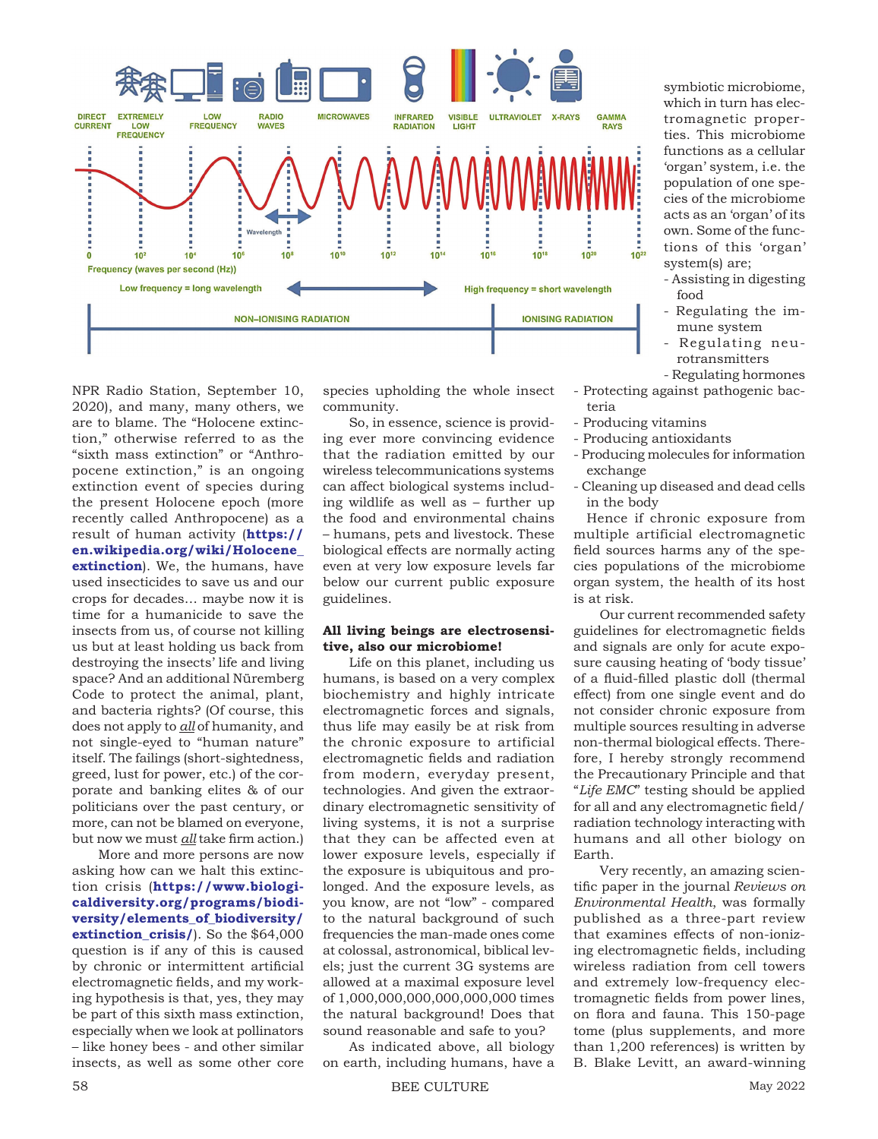

NPR Radio Station, September 10, 2020), and many, many others, we are to blame. The "Holocene extinction," otherwise referred to as the "sixth mass extinction" or "Anthropocene extinction," is an ongoing extinction event of species during the present Holocene epoch (more recently called Anthropocene) as a result of human activity (**https:// en.wikipedia.org/wiki/Holocene\_ extinction**). We, the humans, have used insecticides to save us and our crops for decades… maybe now it is time for a humanicide to save the insects from us, of course not killing us but at least holding us back from destroying the insects' life and living space? And an additional Nüremberg Code to protect the animal, plant, and bacteria rights? (Of course, this does not apply to *all* of humanity, and not single-eyed to "human nature" itself. The failings (short-sightedness, greed, lust for power, etc.) of the corporate and banking elites & of our politicians over the past century, or more, can not be blamed on everyone, but now we must *all* take firm action.)

More and more persons are now asking how can we halt this extinction crisis (**https://www.biologicaldiversity.org/programs/biodiversity/elements\_of\_biodiversity/ extinction\_crisis/**). So the \$64,000 question is if any of this is caused by chronic or intermittent artificial electromagnetic fields, and my working hypothesis is that, yes, they may be part of this sixth mass extinction, especially when we look at pollinators – like honey bees - and other similar insects, as well as some other core

species upholding the whole insect community.

So, in essence, science is providing ever more convincing evidence that the radiation emitted by our wireless telecommunications systems can affect biological systems including wildlife as well as – further up the food and environmental chains – humans, pets and livestock. These biological effects are normally acting even at very low exposure levels far below our current public exposure guidelines.

## **All living beings are electrosensitive, also our microbiome!**

Life on this planet, including us humans, is based on a very complex biochemistry and highly intricate electromagnetic forces and signals, thus life may easily be at risk from the chronic exposure to artificial electromagnetic fields and radiation from modern, everyday present, technologies. And given the extraordinary electromagnetic sensitivity of living systems, it is not a surprise that they can be affected even at lower exposure levels, especially if the exposure is ubiquitous and prolonged. And the exposure levels, as you know, are not "low" - compared to the natural background of such frequencies the man-made ones come at colossal, astronomical, biblical levels; just the current 3G systems are allowed at a maximal exposure level of 1,000,000,000,000,000,000 times the natural background! Does that sound reasonable and safe to you?

As indicated above, all biology on earth, including humans, have a symbiotic microbiome, which in turn has electromagnetic properties. This microbiome functions as a cellular 'organ' system, i.e. the population of one species of the microbiome acts as an 'organ' of its own. Some of the functions of this 'organ' system(s) are;

- Assisting in digesting food
- Regulating the immune system
- Regulating neurotransmitters
- Regulating hormones - Protecting against pathogenic bac
	- teria
- Producing vitamins
- Producing antioxidants
- Producing molecules for information exchange
- Cleaning up diseased and dead cells in the body

Hence if chronic exposure from multiple artificial electromagnetic field sources harms any of the species populations of the microbiome organ system, the health of its host is at risk.

Our current recommended safety guidelines for electromagnetic fields and signals are only for acute exposure causing heating of 'body tissue' of a fluid-filled plastic doll (thermal effect) from one single event and do not consider chronic exposure from multiple sources resulting in adverse non-thermal biological effects. Therefore, I hereby strongly recommend the Precautionary Principle and that "*Life EMC*" testing should be applied for all and any electromagnetic field/ radiation technology interacting with humans and all other biology on Earth.

Very recently, an amazing scientific paper in the journal *Reviews on Environmental Health*, was formally published as a three-part review that examines effects of non-ionizing electromagnetic fields, including wireless radiation from cell towers and extremely low-frequency electromagnetic fields from power lines, on flora and fauna. This 150-page tome (plus supplements, and more than 1,200 references) is written by B. Blake Levitt, an award-winning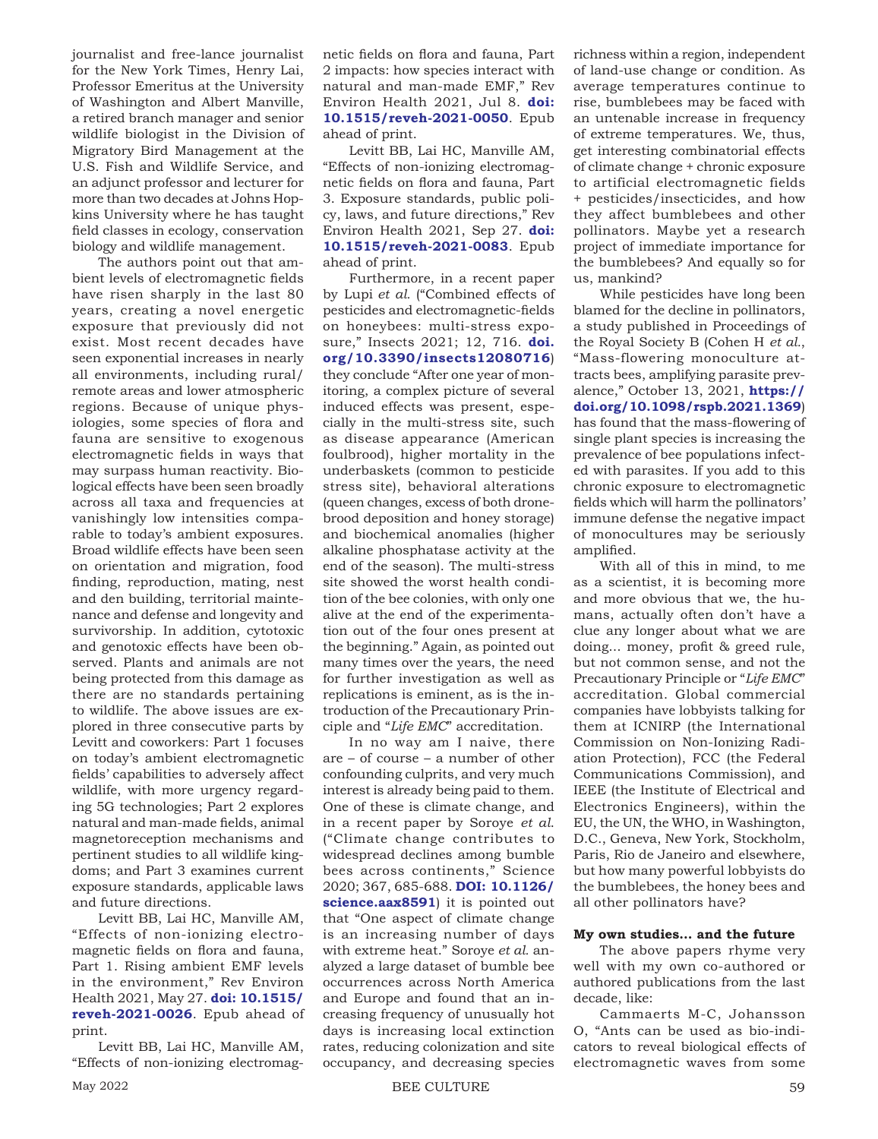journalist and free-lance journalist for the New York Times, Henry Lai, Professor Emeritus at the University of Washington and Albert Manville, a retired branch manager and senior wildlife biologist in the Division of Migratory Bird Management at the U.S. Fish and Wildlife Service, and an adjunct professor and lecturer for more than two decades at Johns Hopkins University where he has taught field classes in ecology, conservation biology and wildlife management.

The authors point out that ambient levels of electromagnetic fields have risen sharply in the last 80 years, creating a novel energetic exposure that previously did not exist. Most recent decades have seen exponential increases in nearly all environments, including rural/ remote areas and lower atmospheric regions. Because of unique physiologies, some species of flora and fauna are sensitive to exogenous electromagnetic fields in ways that may surpass human reactivity. Biological effects have been seen broadly across all taxa and frequencies at vanishingly low intensities comparable to today's ambient exposures. Broad wildlife effects have been seen on orientation and migration, food finding, reproduction, mating, nest and den building, territorial maintenance and defense and longevity and survivorship. In addition, cytotoxic and genotoxic effects have been observed. Plants and animals are not being protected from this damage as there are no standards pertaining to wildlife. The above issues are explored in three consecutive parts by Levitt and coworkers: Part 1 focuses on today's ambient electromagnetic fields' capabilities to adversely affect wildlife, with more urgency regarding 5G technologies; Part 2 explores natural and man-made fields, animal magnetoreception mechanisms and pertinent studies to all wildlife kingdoms; and Part 3 examines current exposure standards, applicable laws and future directions.

Levitt BB, Lai HC, Manville AM, "Effects of non-ionizing electromagnetic fields on flora and fauna, Part 1. Rising ambient EMF levels in the environment," Rev Environ Health 2021, May 27. **doi: 10.1515/ reveh-2021-0026**. Epub ahead of print.

Levitt BB, Lai HC, Manville AM, "Effects of non-ionizing electromagnetic fields on flora and fauna, Part 2 impacts: how species interact with natural and man-made EMF," Rev Environ Health 2021, Jul 8. **doi: 10.1515/reveh-2021-0050**. Epub ahead of print.

Levitt BB, Lai HC, Manville AM, "Effects of non-ionizing electromagnetic fields on flora and fauna, Part 3. Exposure standards, public policy, laws, and future directions," Rev Environ Health 2021, Sep 27. **doi: 10.1515/reveh-2021-0083**. Epub ahead of print.

Furthermore, in a recent paper by Lupi *et al.* ("Combined effects of pesticides and electromagnetic-fields on honeybees: multi-stress exposure," Insects 2021; 12, 716. **doi. org/10.3390/insects12080716**) they conclude "After one year of monitoring, a complex picture of several induced effects was present, especially in the multi-stress site, such as disease appearance (American foulbrood), higher mortality in the underbaskets (common to pesticide stress site), behavioral alterations (queen changes, excess of both dronebrood deposition and honey storage) and biochemical anomalies (higher alkaline phosphatase activity at the end of the season). The multi-stress site showed the worst health condition of the bee colonies, with only one alive at the end of the experimentation out of the four ones present at the beginning." Again, as pointed out many times over the years, the need for further investigation as well as replications is eminent, as is the introduction of the Precautionary Principle and "*Life EMC*" accreditation.

In no way am I naive, there are – of course – a number of other confounding culprits, and very much interest is already being paid to them. One of these is climate change, and in a recent paper by Soroye *et al*. ("Climate change contributes to widespread declines among bumble bees across continents," Science 2020; 367, 685-688. **DOI: 10.1126/ science.aax8591**) it is pointed out that "One aspect of climate change is an increasing number of days with extreme heat." Soroye *et al.* analyzed a large dataset of bumble bee occurrences across North America and Europe and found that an increasing frequency of unusually hot days is increasing local extinction rates, reducing colonization and site occupancy, and decreasing species richness within a region, independent of land-use change or condition. As average temperatures continue to rise, bumblebees may be faced with an untenable increase in frequency of extreme temperatures. We, thus, get interesting combinatorial effects of climate change + chronic exposure to artificial electromagnetic fields + pesticides/insecticides, and how they affect bumblebees and other pollinators. Maybe yet a research project of immediate importance for the bumblebees? And equally so for us, mankind?

While pesticides have long been blamed for the decline in pollinators, a study published in Proceedings of the Royal Society B (Cohen H *et al.*, "Mass-flowering monoculture attracts bees, amplifying parasite prevalence," October 13, 2021, **https:// doi.org/10.1098/rspb.2021.1369**) has found that the mass-flowering of single plant species is increasing the prevalence of bee populations infected with parasites. If you add to this chronic exposure to electromagnetic fields which will harm the pollinators' immune defense the negative impact of monocultures may be seriously amplified.

With all of this in mind, to me as a scientist, it is becoming more and more obvious that we, the humans, actually often don't have a clue any longer about what we are doing... money, profit & greed rule, but not common sense, and not the Precautionary Principle or "*Life EMC*" accreditation. Global commercial companies have lobbyists talking for them at ICNIRP (the International Commission on Non-Ionizing Radiation Protection), FCC (the Federal Communications Commission), and IEEE (the Institute of Electrical and Electronics Engineers), within the EU, the UN, the WHO, in Washington, D.C., Geneva, New York, Stockholm, Paris, Rio de Janeiro and elsewhere, but how many powerful lobbyists do the bumblebees, the honey bees and all other pollinators have?

## **My own studies… and the future**

The above papers rhyme very well with my own co-authored or authored publications from the last decade, like:

Cammaerts M-C, Johansson O, "Ants can be used as bio-indicators to reveal biological effects of electromagnetic waves from some